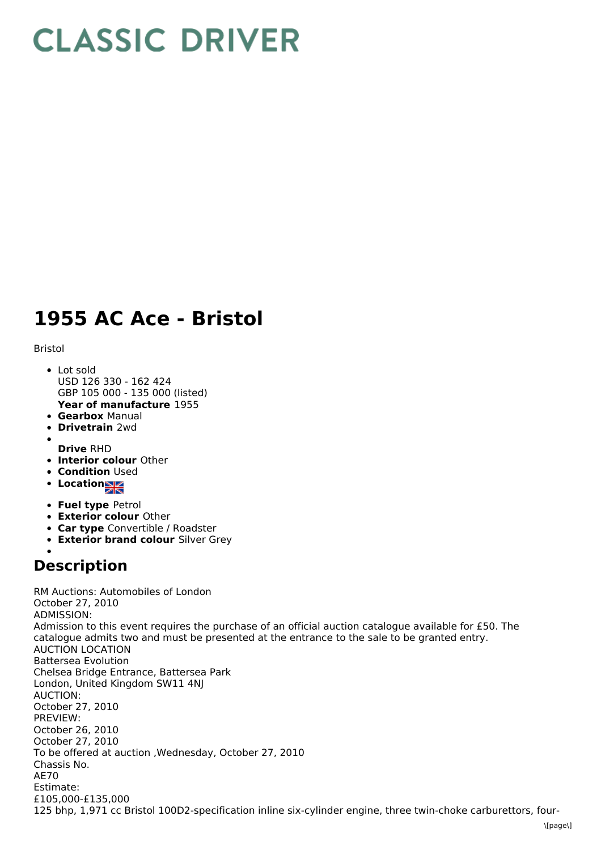## **CLASSIC DRIVER**

## **1955 AC Ace - Bristol**

Bristol

- **Year of manufacture** 1955 Lot sold USD 126 330 - 162 424 GBP 105 000 - 135 000 (listed)
- **Gearbox** Manual
- **Drivetrain** 2wd
- **Drive** RHD
- **Interior colour** Other
- **Condition Used**
- Location<sub>al</sub>
- **Fuel type** Petrol
- **Exterior colour** Other
- **Car type** Convertible / Roadster
- **Exterior brand colour** Silver Grey

## **Description**

RM Auctions: Automobiles of London October 27, 2010 ADMISSION: Admission to this event requires the purchase of an official auction catalogue available for £50. The catalogue admits two and must be presented at the entrance to the sale to be granted entry. AUCTION LOCATION Battersea Evolution Chelsea Bridge Entrance, Battersea Park London, United Kingdom SW11 4NJ AUCTION: October 27, 2010 PREVIEW: October 26, 2010 October 27, 2010 To be offered at auction ,Wednesday, October 27, 2010 Chassis No. AE70 Estimate: £105,000-£135,000 125 bhp, 1,971 cc Bristol 100D2-specification inline six-cylinder engine, three twin-choke carburettors, four